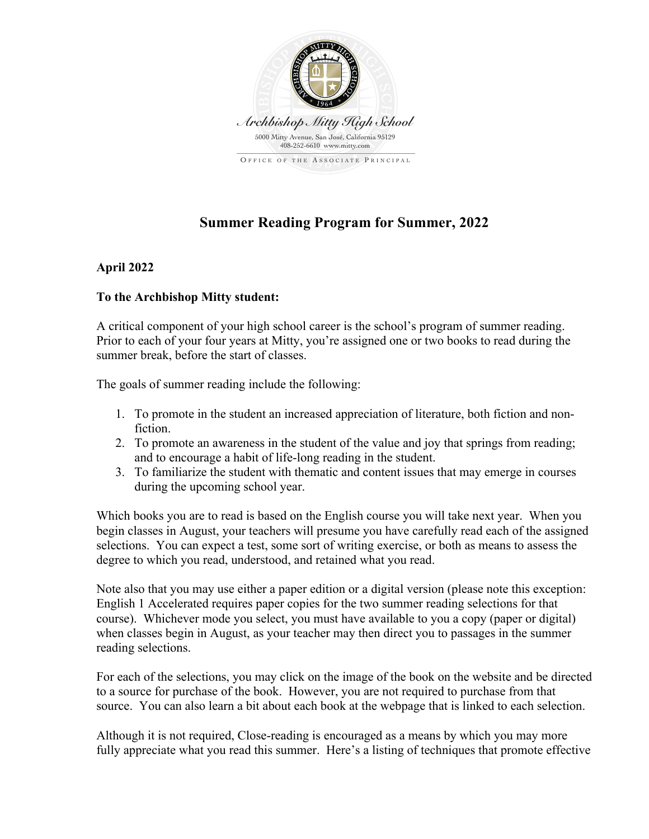

## **Summer Reading Program for Summer, 2022**

## **April 2022**

## **To the Archbishop Mitty student:**

A critical component of your high school career is the school's program of summer reading. Prior to each of your four years at Mitty, you're assigned one or two books to read during the summer break, before the start of classes.

The goals of summer reading include the following:

- 1. To promote in the student an increased appreciation of literature, both fiction and nonfiction.
- 2. To promote an awareness in the student of the value and joy that springs from reading; and to encourage a habit of life-long reading in the student.
- 3. To familiarize the student with thematic and content issues that may emerge in courses during the upcoming school year.

Which books you are to read is based on the English course you will take next year. When you begin classes in August, your teachers will presume you have carefully read each of the assigned selections. You can expect a test, some sort of writing exercise, or both as means to assess the degree to which you read, understood, and retained what you read.

Note also that you may use either a paper edition or a digital version (please note this exception: English 1 Accelerated requires paper copies for the two summer reading selections for that course). Whichever mode you select, you must have available to you a copy (paper or digital) when classes begin in August, as your teacher may then direct you to passages in the summer reading selections.

For each of the selections, you may click on the image of the book on the website and be directed to a source for purchase of the book. However, you are not required to purchase from that source. You can also learn a bit about each book at the webpage that is linked to each selection.

Although it is not required, Close-reading is encouraged as a means by which you may more fully appreciate what you read this summer. Here's a listing of techniques that promote effective